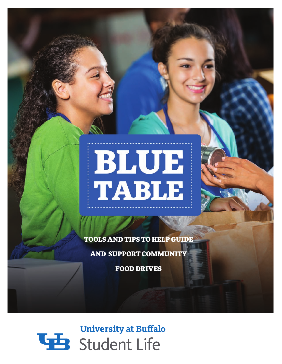# BLUE<br>TABLE

TOOLS AND TIPS TO HELP GUIDE

AND SUPPORT COMMUNITY

FOOD DRIVES

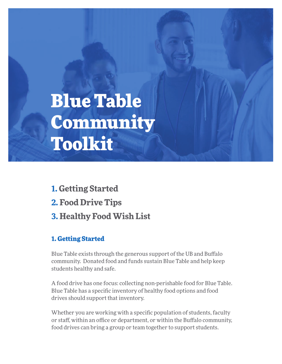# Blue Table Community Toolkit

**1. Getting Started 2. Food Drive Tips 3. Healthy Food Wish List** 

# 1. Getting Started

Blue Table exists through the generous support of the UB and Bufalo community. Donated food and funds sustain Blue Table and help keep students healthy and safe.

A food drive has one focus: collecting non-perishable food for Blue Table. Blue Table has a specifc inventory of healthy food options and food drives should support that inventory.

Whether you are working with a specifc population of students, faculty or staff, within an office or department, or within the Buffalo community, food drives can bring a group or team together to support students.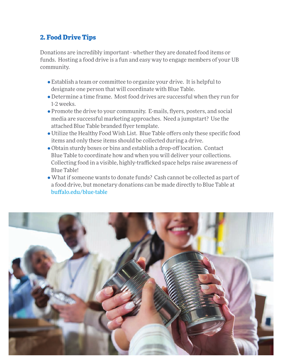## 2. Food Drive Tips

Donations are incredibly important - whether they are donated food items or funds. Hosting a food drive is a fun and easy way to engage members of your UB community.

- Establish a team or committee to organize your drive. It is helpful to designate one person that will coordinate with Blue Table.
- Determine a time frame. Most food drives are successful when they run for 1-2 weeks.
- Promote the drive to your community. E-mails, fyers, posters, and social media are successful marketing approaches. Need a jumpstart? Use the attached Blue Table branded fyer template.
- Utilize the Healthy Food Wish List. Blue Table ofers only these specifc food items and only these items should be collected during a drive.
- Obtain sturdy boxes or bins and establish a drop-off location. Contact Blue Table to coordinate how and when you will deliver your collections. Collecting food in a visible, highly-trafficked space helps raise awareness of Blue Table!
- What if someone wants to donate funds? Cash cannot be collected as part of a food drive, but monetary donations can be made directly to Blue Table at bufalo.edu/blue-table